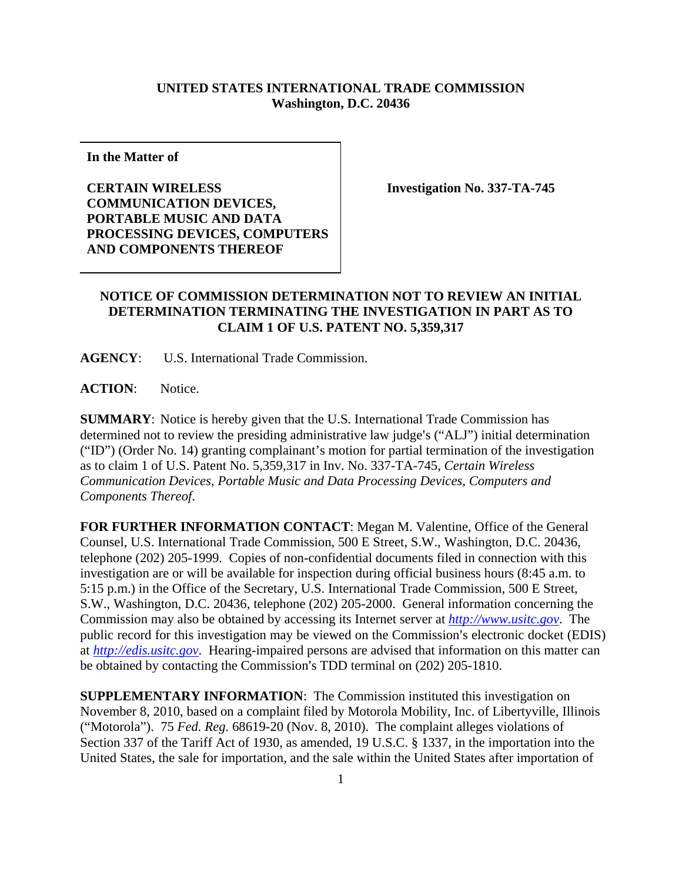## **UNITED STATES INTERNATIONAL TRADE COMMISSION Washington, D.C. 20436**

**In the Matter of** 

**CERTAIN WIRELESS COMMUNICATION DEVICES, PORTABLE MUSIC AND DATA PROCESSING DEVICES, COMPUTERS AND COMPONENTS THEREOF** 

**Investigation No. 337-TA-745** 

## **NOTICE OF COMMISSION DETERMINATION NOT TO REVIEW AN INITIAL DETERMINATION TERMINATING THE INVESTIGATION IN PART AS TO CLAIM 1 OF U.S. PATENT NO. 5,359,317**

**AGENCY**: U.S. International Trade Commission.

**ACTION**: Notice.

**SUMMARY**: Notice is hereby given that the U.S. International Trade Commission has determined not to review the presiding administrative law judge's ("ALJ") initial determination ("ID") (Order No. 14) granting complainant's motion for partial termination of the investigation as to claim 1 of U.S. Patent No. 5,359,317 in Inv. No. 337-TA-745, *Certain Wireless Communication Devices, Portable Music and Data Processing Devices, Computers and Components Thereof*.

**FOR FURTHER INFORMATION CONTACT**: Megan M. Valentine, Office of the General Counsel, U.S. International Trade Commission, 500 E Street, S.W., Washington, D.C. 20436, telephone (202) 205-1999. Copies of non-confidential documents filed in connection with this investigation are or will be available for inspection during official business hours (8:45 a.m. to 5:15 p.m.) in the Office of the Secretary, U.S. International Trade Commission, 500 E Street, S.W., Washington, D.C. 20436, telephone (202) 205-2000. General information concerning the Commission may also be obtained by accessing its Internet server at *http://www.usitc.gov*. The public record for this investigation may be viewed on the Commission's electronic docket (EDIS) at *http://edis.usitc.gov*. Hearing-impaired persons are advised that information on this matter can be obtained by contacting the Commission's TDD terminal on (202) 205-1810.

**SUPPLEMENTARY INFORMATION**: The Commission instituted this investigation on November 8, 2010, based on a complaint filed by Motorola Mobility, Inc. of Libertyville, Illinois ("Motorola"). 75 *Fed. Reg.* 68619-20 (Nov. 8, 2010). The complaint alleges violations of Section 337 of the Tariff Act of 1930, as amended, 19 U.S.C. § 1337, in the importation into the United States, the sale for importation, and the sale within the United States after importation of